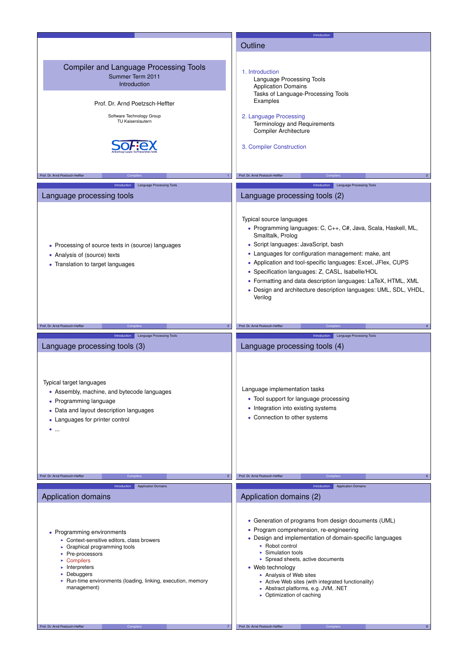|                                                                                                                                                                                                                                                                                                                             | Introduction                                                                                                                                                                                                                                                                                                                                                                                                                                                                        |
|-----------------------------------------------------------------------------------------------------------------------------------------------------------------------------------------------------------------------------------------------------------------------------------------------------------------------------|-------------------------------------------------------------------------------------------------------------------------------------------------------------------------------------------------------------------------------------------------------------------------------------------------------------------------------------------------------------------------------------------------------------------------------------------------------------------------------------|
|                                                                                                                                                                                                                                                                                                                             | Outline                                                                                                                                                                                                                                                                                                                                                                                                                                                                             |
| <b>Compiler and Language Processing Tools</b><br>Summer Term 2011<br>Introduction<br>Prof. Dr. Arnd Poetzsch-Heffter<br>Software Technology Group<br>TU Kaiserslautern                                                                                                                                                      | 1. Introduction<br>Language Processing Tools<br><b>Application Domains</b><br>Tasks of Language-Processing Tools<br>Examples<br>2. Language Processing<br>Terminology and Requirements<br><b>Compiler Architecture</b><br>3. Compiler Construction                                                                                                                                                                                                                                  |
|                                                                                                                                                                                                                                                                                                                             |                                                                                                                                                                                                                                                                                                                                                                                                                                                                                     |
| Prof. Dr. Arnd Poetzsch-Heffter<br>Compiler:                                                                                                                                                                                                                                                                                | Prof. Dr. Arnd Poetzsch-Heffter<br>Compiler<br>$\overline{2}$                                                                                                                                                                                                                                                                                                                                                                                                                       |
| Introduction<br><b>Language Processing Tools</b><br>Language processing tools                                                                                                                                                                                                                                               | Introduction<br><b>Language Processing Tools</b><br>Language processing tools (2)                                                                                                                                                                                                                                                                                                                                                                                                   |
| • Processing of source texts in (source) languages<br>• Analysis of (source) texts<br>• Translation to target languages                                                                                                                                                                                                     | Typical source languages<br>· Programming languages: C, C++, C#, Java, Scala, Haskell, ML,<br>Smalltalk, Prolog<br>• Script languages: JavaScript, bash<br>• Languages for configuration management: make, ant<br>• Application and tool-specific languages: Excel, JFlex, CUPS<br>• Specification languages: Z, CASL, Isabelle/HOL<br>• Formatting and data description languages: LaTeX, HTML, XML<br>• Design and architecture description languages: UML, SDL, VHDL,<br>Verilog |
| Prof. Dr. Arnd Poetzsch-Heffter<br>Compile                                                                                                                                                                                                                                                                                  | Prof. Dr. Arnd Poetzsch-Heffter<br>Compi                                                                                                                                                                                                                                                                                                                                                                                                                                            |
| Introduction<br>Language Processing Tools                                                                                                                                                                                                                                                                                   | Language Processing Tools<br>Introduction                                                                                                                                                                                                                                                                                                                                                                                                                                           |
| Language processing tools (3)                                                                                                                                                                                                                                                                                               | Language processing tools (4)                                                                                                                                                                                                                                                                                                                                                                                                                                                       |
| Typical target languages<br>• Assembly, machine, and bytecode languages<br>• Programming language<br>• Data and layout description languages<br>• Languages for printer control<br>$\bullet$                                                                                                                                | Language implementation tasks<br>• Tool support for language processing<br>• Integration into existing systems<br>• Connection to other systems                                                                                                                                                                                                                                                                                                                                     |
| Prof. Dr. Arnd Poetzsch-Heffter                                                                                                                                                                                                                                                                                             | Prof. Dr. Arnd Poetzsch-Heffter                                                                                                                                                                                                                                                                                                                                                                                                                                                     |
| <b>Application Domains</b><br>Introduction<br>Application domains                                                                                                                                                                                                                                                           | <b>Application Domains</b><br>Introduction<br>Application domains (2)                                                                                                                                                                                                                                                                                                                                                                                                               |
| • Programming environments<br>Context-sensitive editors, class browers<br>$\triangleright$ Graphical programming tools<br>▶ Pre-processors<br>$\triangleright$ Compilers<br>$\blacktriangleright$ Interpreters<br>$\triangleright$ Debuggers<br>• Run-time environments (loading, linking, execution, memory<br>management) | • Generation of programs from design documents (UML)<br>• Program comprehension, re-engineering<br>• Design and implementation of domain-specific languages<br>► Robot control<br>▶ Simulation tools<br>Spread sheets, active documents<br>• Web technology<br>Analysis of Web sites<br>Active Web sites (with integrated functionality)<br>Abstract platforms, e.g. JVM, .NET<br>• Optimization of caching                                                                         |
| Prof. Dr. Arnd Poetzsch-Heffter<br>Compilers                                                                                                                                                                                                                                                                                | Prof. Dr. Arnd Poetzsch-Heffter<br>Compilers                                                                                                                                                                                                                                                                                                                                                                                                                                        |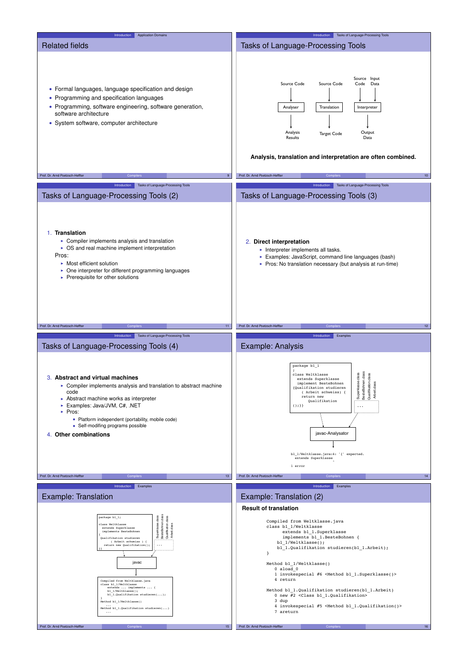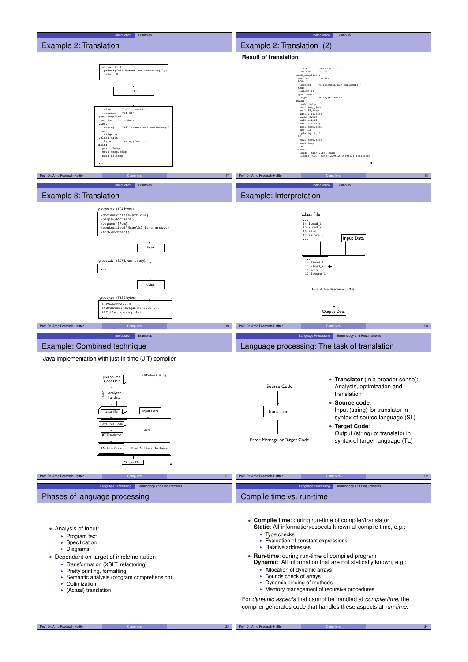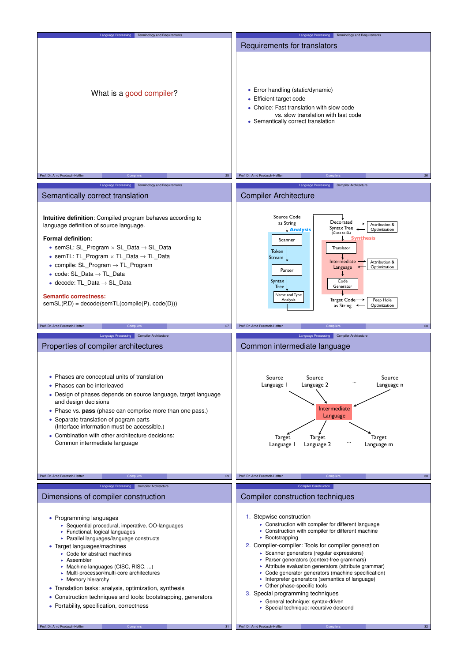| <b>Terminology and Requirements</b><br>Language Processing                                                                                                                                                                                                                                                                                                                                                                                                                                                                                                      | Language Processing   Terminology and Requirements                                                                                                                                                                                                                                                                                                                                                                                                                                                                                                                                                                                                                                 |
|-----------------------------------------------------------------------------------------------------------------------------------------------------------------------------------------------------------------------------------------------------------------------------------------------------------------------------------------------------------------------------------------------------------------------------------------------------------------------------------------------------------------------------------------------------------------|------------------------------------------------------------------------------------------------------------------------------------------------------------------------------------------------------------------------------------------------------------------------------------------------------------------------------------------------------------------------------------------------------------------------------------------------------------------------------------------------------------------------------------------------------------------------------------------------------------------------------------------------------------------------------------|
|                                                                                                                                                                                                                                                                                                                                                                                                                                                                                                                                                                 | Requirements for translators                                                                                                                                                                                                                                                                                                                                                                                                                                                                                                                                                                                                                                                       |
| What is a good compiler?                                                                                                                                                                                                                                                                                                                                                                                                                                                                                                                                        | • Error handling (static/dynamic)<br>• Efficient target code<br>• Choice: Fast translation with slow code<br>vs. slow translation with fast code<br>• Semantically correct translation                                                                                                                                                                                                                                                                                                                                                                                                                                                                                             |
|                                                                                                                                                                                                                                                                                                                                                                                                                                                                                                                                                                 |                                                                                                                                                                                                                                                                                                                                                                                                                                                                                                                                                                                                                                                                                    |
| Prof. Dr. Arnd Poetzsch-Heffter<br>25                                                                                                                                                                                                                                                                                                                                                                                                                                                                                                                           | Prof. Dr. Arnd Poetzsch-Heffter<br>26                                                                                                                                                                                                                                                                                                                                                                                                                                                                                                                                                                                                                                              |
| Language Processing   Terminology and Requirements                                                                                                                                                                                                                                                                                                                                                                                                                                                                                                              | Language Processing<br><b>Compiler Architecture</b>                                                                                                                                                                                                                                                                                                                                                                                                                                                                                                                                                                                                                                |
| Semantically correct translation                                                                                                                                                                                                                                                                                                                                                                                                                                                                                                                                | <b>Compiler Architecture</b>                                                                                                                                                                                                                                                                                                                                                                                                                                                                                                                                                                                                                                                       |
|                                                                                                                                                                                                                                                                                                                                                                                                                                                                                                                                                                 |                                                                                                                                                                                                                                                                                                                                                                                                                                                                                                                                                                                                                                                                                    |
| Intuitive definition: Compiled program behaves according to<br>language definition of source language.<br><b>Formal definition:</b><br>• semSL: SL_Program $\times$ SL_Data $\rightarrow$ SL_Data<br>• semTL: TL_Program $\times$ TL_Data $\rightarrow$ TL_Data<br>• compile: $SL_P$ rogram $\rightarrow$ TL_Program<br>$\bullet$ code: SL_Data $\rightarrow$ TL_Data<br>• decode: TL Data $\rightarrow$ SL Data<br><b>Semantic correctness:</b><br>$semSL(P,D) = decode(semTL(compile(P), code(D)))$                                                           | Source Code<br>Decorated<br>as String<br>→<br>Attribution &<br>Syntax Tree<br><b>Analysis</b><br>Optimization<br>(Close to SL)<br><b>Synthesis</b><br>Scanner<br>Translator<br><b>Token</b><br>Stream<br>Intermediate<br>Attribution &<br>Optimization<br>Language<br>Parser<br>Syntax<br>Code<br>Generator<br>Tree<br>Name and Type<br>Target Code—<br>Analysis<br>Peep Hole<br>Optimization<br>as String                                                                                                                                                                                                                                                                         |
| Prof. Dr. Arnd Poetzsch-Heffter<br>27                                                                                                                                                                                                                                                                                                                                                                                                                                                                                                                           | Prof. Dr. Arnd Poetzsch-Heffter<br>28                                                                                                                                                                                                                                                                                                                                                                                                                                                                                                                                                                                                                                              |
|                                                                                                                                                                                                                                                                                                                                                                                                                                                                                                                                                                 |                                                                                                                                                                                                                                                                                                                                                                                                                                                                                                                                                                                                                                                                                    |
|                                                                                                                                                                                                                                                                                                                                                                                                                                                                                                                                                                 |                                                                                                                                                                                                                                                                                                                                                                                                                                                                                                                                                                                                                                                                                    |
| Language Processing Compiler Architecture<br>Properties of compiler architectures                                                                                                                                                                                                                                                                                                                                                                                                                                                                               | Language Processing Compiler Architecture<br>Common intermediate language                                                                                                                                                                                                                                                                                                                                                                                                                                                                                                                                                                                                          |
| • Phases are conceptual units of translation<br>• Phases can be interleaved<br>• Design of phases depends on source language, target language<br>and design decisions<br>• Phase vs. pass (phase can comprise more than one pass.)<br>• Separate translation of pogram parts<br>(Interface information must be accessible.)<br>• Combination with other architecture decisions:<br>Common intermediate language                                                                                                                                                 | Source<br>Source<br>Source<br>Language I<br>Language 2<br>Language n<br>Intermediate<br>Language<br>Target<br>Target<br>Target<br>Language I<br>Language 2<br>Language m                                                                                                                                                                                                                                                                                                                                                                                                                                                                                                           |
| Prof. Dr. Arnd Poetzsch-Heffter<br><b>Compilers</b><br>29                                                                                                                                                                                                                                                                                                                                                                                                                                                                                                       | Prof. Dr. Arnd Poetzsch-Heffter<br>30 <sub>o</sub><br>Compi                                                                                                                                                                                                                                                                                                                                                                                                                                                                                                                                                                                                                        |
|                                                                                                                                                                                                                                                                                                                                                                                                                                                                                                                                                                 |                                                                                                                                                                                                                                                                                                                                                                                                                                                                                                                                                                                                                                                                                    |
| Compiler Architecture<br>Language Processing                                                                                                                                                                                                                                                                                                                                                                                                                                                                                                                    | <b>Compiler Construction</b>                                                                                                                                                                                                                                                                                                                                                                                                                                                                                                                                                                                                                                                       |
| Dimensions of compiler construction<br>• Programming languages<br>Sequential procedural, imperative, OO-languages<br>Functional, logical languages<br>▶ Parallel languages/language constructs<br>• Target languages/machines<br>• Code for abstract machines<br>► Assembler<br>► Machine languages (CISC, RISC, )<br>• Multi-processor/multi-core architectures<br>• Memory hierarchy<br>• Translation tasks: analysis, optimization, synthesis<br>• Construction techniques and tools: bootstrapping, generators<br>• Portability, specification, correctness | Compiler construction techniques<br>1. Stepwise construction<br>> Construction with compiler for different language<br>> Construction with compiler for different machine<br>$\triangleright$ Bootstrapping<br>2. Compiler-compiler: Tools for compiler generation<br>Scanner generators (regular expressions)<br>▶ Parser generators (context-free grammars)<br>Attribute evaluation generators (attribute grammar)<br>• Code generator generators (machine specification)<br>Interpreter generators (semantics of language)<br>• Other phase-specific tools<br>3. Special programming techniques<br>► General technique: syntax-driven<br>▶ Special technique: recursive descend |